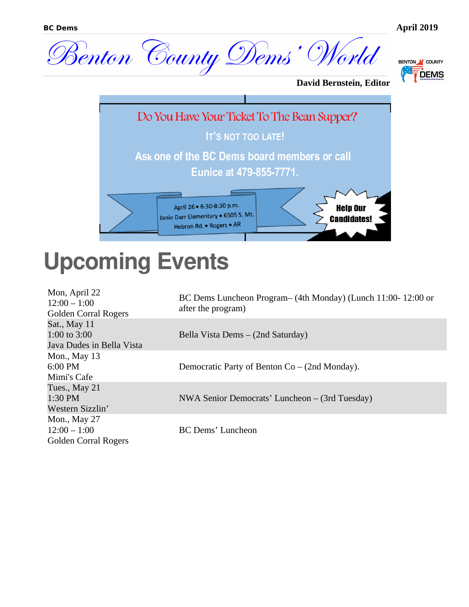



**David Bernstein, Editor**



### **Upcoming Events**

| Mon, April 22<br>$12:00 - 1:00$<br><b>Golden Corral Rogers</b> | BC Dems Luncheon Program – (4th Monday) (Lunch 11:00-12:00 or<br>after the program) |
|----------------------------------------------------------------|-------------------------------------------------------------------------------------|
| Sat., May 11<br>1:00 to $3:00$<br>Java Dudes in Bella Vista    | Bella Vista Dems – (2nd Saturday)                                                   |
| Mon., May $13$<br>6:00 PM<br>Mimi's Cafe                       | Democratic Party of Benton Co – (2nd Monday).                                       |
| Tues., May 21<br>1:30 PM<br>Western Sizzlin'                   | NWA Senior Democrats' Luncheon – (3rd Tuesday)                                      |
| Mon., May 27<br>$12:00 - 1:00$<br><b>Golden Corral Rogers</b>  | <b>BC Dems' Luncheon</b>                                                            |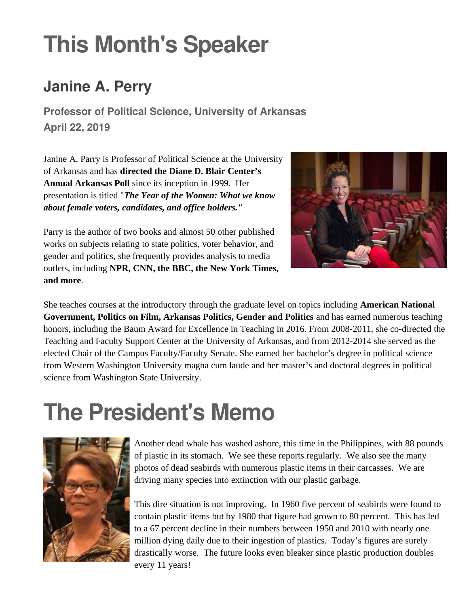## **This Month's Speaker**

### **Janine A. Perry**

**Professor of Political Science, University of Arkansas April 22, 2019**

Janine A. Parry is Professor of Political Science at the University of Arkansas and has **directed the Diane D. Blair Center's Annual Arkansas Poll** since its inception in 1999. Her presentation is titled "*The Year of the Women: What we know about female voters, candidates, and office holders."*



Parry is the author of two books and almost 50 other published works on subjects relating to state politics, voter behavior, and gender and politics, she frequently provides analysis to media outlets, including **NPR, CNN, the BBC, the New York Times, and more**.

She teaches courses at the introductory through the graduate level on topics including **American National Government, Politics on Film, Arkansas Politics, Gender and Politics** and has earned numerous teaching honors, including the Baum Award for Excellence in Teaching in 2016. From 2008-2011, she co-directed the Teaching and Faculty Support Center at the University of Arkansas, and from 2012-2014 she served as the elected Chair of the Campus Faculty/Faculty Senate. She earned her bachelor's degree in political science from Western Washington University magna cum laude and her master's and doctoral degrees in political science from Washington State University.

### **The President's Memo**



Another dead whale has washed ashore, this time in the Philippines, with 88 pounds of plastic in its stomach. We see these reports regularly. We also see the many photos of dead seabirds with numerous plastic items in their carcasses. We are driving many species into extinction with our plastic garbage.

This dire situation is not improving. In 1960 five percent of seabirds were found to contain plastic items but by 1980 that figure had grown to 80 percent. This has led to a 67 percent decline in their numbers between 1950 and 2010 with nearly one million dying daily due to their ingestion of plastics. Today's figures are surely drastically worse. The future looks even bleaker since plastic production doubles every 11 years!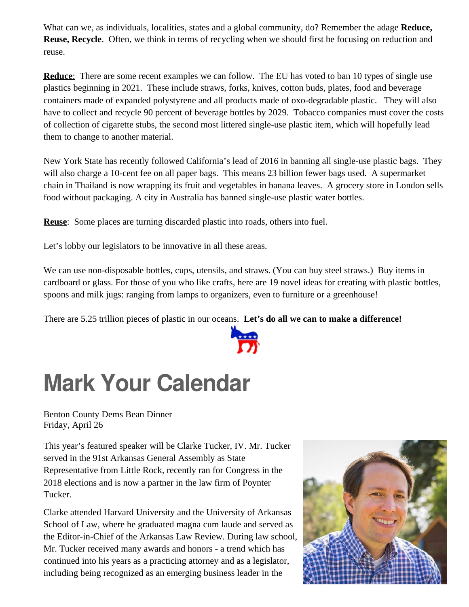What can we, as individuals, localities, states and a global community, do? Remember the adage **Reduce, Reuse, Recycle**. Often, we think in terms of recycling when we should first be focusing on reduction and reuse.

**Reduce:** There are some recent examples we can follow. The EU has voted to ban 10 types of single use plastics beginning in 2021. These include straws, forks, knives, cotton buds, plates, food and beverage containers made of expanded polystyrene and all products made of oxo-degradable plastic. They will also have to collect and recycle 90 percent of beverage bottles by 2029. Tobacco companies must cover the costs of collection of cigarette stubs, the second most littered single-use plastic item, which will hopefully lead them to change to another material.

New York State has recently followed California's lead of 2016 in banning all single-use plastic bags. They will also charge a 10-cent fee on all paper bags. This means 23 billion fewer bags used. A supermarket chain in Thailand is now wrapping its fruit and vegetables in banana leaves. A grocery store in London sells food without packaging. A city in Australia has banned single-use plastic water bottles.

**Reuse**: Some places are turning discarded plastic into roads, others into fuel.

Let's lobby our legislators to be innovative in all these areas.

We can use non-disposable bottles, cups, utensils, and straws. (You can buy steel straws.) Buy items in cardboard or glass. For those of you who like crafts, here are 19 novel ideas for creating with plastic bottles, spoons and milk jugs: ranging from lamps to organizers, even to furniture or a greenhouse!

There are 5.25 trillion pieces of plastic in our oceans. **Let's do all we can to make a difference!**



### **Mark Your Calendar**

Benton County Dems Bean Dinner Friday, April 26

This year's featured speaker will be Clarke Tucker, IV. Mr. Tucker served in the 91st Arkansas General Assembly as State Representative from Little Rock, recently ran for Congress in the 2018 elections and is now a partner in the law firm of Poynter Tucker.

Clarke attended Harvard University and the University of Arkansas School of Law, where he graduated magna cum laude and served as the Editor-in-Chief of the Arkansas Law Review. During law school, Mr. Tucker received many awards and honors - a trend which has continued into his years as a practicing attorney and as a legislator, including being recognized as an emerging business leader in the

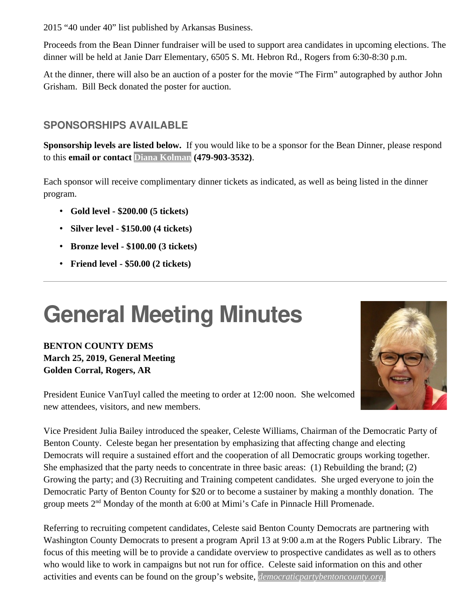2015 "40 under 40" list published by Arkansas Business.

Proceeds from the Bean Dinner fundraiser will be used to support area candidates in upcoming elections. The dinner will be held at Janie Darr Elementary, 6505 S. Mt. Hebron Rd., Rogers from 6:30-8:30 p.m.

At the dinner, there will also be an auction of a poster for the movie "The Firm" autographed by author John Grisham. Bill Beck donated the poster for auction.

#### **SPONSORSHIPS AVAILABLE**

**Sponsorship levels are listed below.** If you would like to be a sponsor for the Bean Dinner, please respond to this **email or contact [Diana Kolman](mailto:dkolman@cox.net?subject=Bean%20Dinner%20Sponsorship) (479-903-3532)**.

Each sponsor will receive complimentary dinner tickets as indicated, as well as being listed in the dinner program.

- **Gold level \$200.00 (5 tickets)**
- **Silver level \$150.00 (4 tickets)**
- **Bronze level \$100.00 (3 tickets)**
- **Friend level \$50.00 (2 tickets)**

## **General Meeting Minutes**

**BENTON COUNTY DEMS March 25, 2019, General Meeting Golden Corral, Rogers, AR**

President Eunice VanTuyl called the meeting to order at 12:00 noon. She welcomed new attendees, visitors, and new members.

Vice President Julia Bailey introduced the speaker, Celeste Williams, Chairman of the Democratic Party of Benton County. Celeste began her presentation by emphasizing that affecting change and electing Democrats will require a sustained effort and the cooperation of all Democratic groups working together. She emphasized that the party needs to concentrate in three basic areas: (1) Rebuilding the brand; (2) Growing the party; and (3) Recruiting and Training competent candidates. She urged everyone to join the Democratic Party of Benton County for \$20 or to become a sustainer by making a monthly donation. The group meets 2<sup>nd</sup> Monday of the month at 6:00 at Mimi's Cafe in Pinnacle Hill Promenade.

Referring to recruiting competent candidates, Celeste said Benton County Democrats are partnering with Washington County Democrats to present a program April 13 at 9:00 a.m at the Rogers Public Library. The focus of this meeting will be to provide a candidate overview to prospective candidates as well as to others who would like to work in campaigns but not run for office. Celeste said information on this and other activities and events can be found on the group's website, *[democraticpartybentoncounty.org](http://democraticpartybentoncounty.org/)*[.](http://democraticpartybentoncounty.org./)

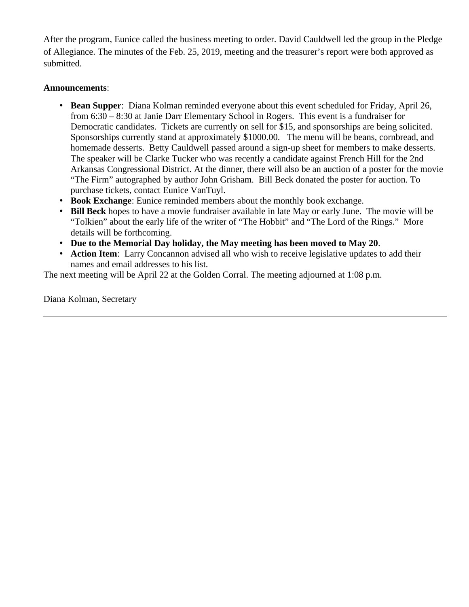After the program, Eunice called the business meeting to order. David Cauldwell led the group in the Pledge of Allegiance. The minutes of the Feb. 25, 2019, meeting and the treasurer's report were both approved as submitted.

#### **Announcements**:

- **Bean Supper**: Diana Kolman reminded everyone about this event scheduled for Friday, April 26, from 6:30 – 8:30 at Janie Darr Elementary School in Rogers. This event is a fundraiser for Democratic candidates. Tickets are currently on sell for \$15, and sponsorships are being solicited. Sponsorships currently stand at approximately \$1000.00. The menu will be beans, cornbread, and homemade desserts. Betty Cauldwell passed around a sign-up sheet for members to make desserts. The speaker will be Clarke Tucker who was recently a candidate against French Hill for the 2nd Arkansas Congressional District. At the dinner, there will also be an auction of a poster for the movie "The Firm" autographed by author John Grisham. Bill Beck donated the poster for auction. To purchase tickets, contact Eunice VanTuyl.
- **Book Exchange**: Eunice reminded members about the monthly book exchange.
- **Bill Beck** hopes to have a movie fundraiser available in late May or early June. The movie will be "Tolkien" about the early life of the writer of "The Hobbit" and "The Lord of the Rings." More details will be forthcoming.
- **Due to the Memorial Day holiday, the May meeting has been moved to May 20**.
- **Action Item**: Larry Concannon advised all who wish to receive legislative updates to add their names and email addresses to his list.

The next meeting will be April 22 at the Golden Corral. The meeting adjourned at 1:08 p.m.

Diana Kolman, Secretary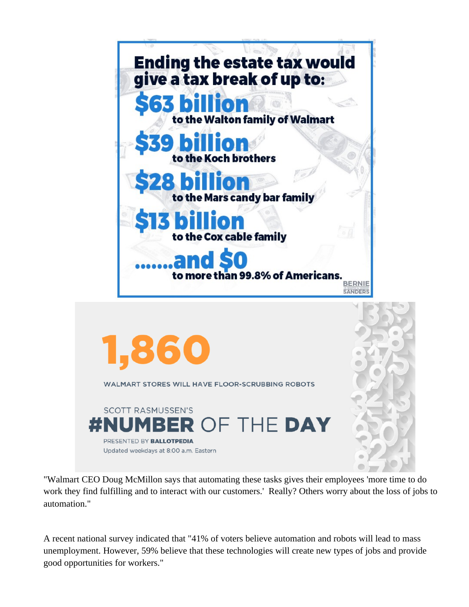

"Walmart CEO Doug McMillon says that automating these tasks gives their employees 'more time to do work they find fulfilling and to interact with our customers.' Really? Others worry about the loss of jobs to automation."

A recent national survey indicated that "41% of voters believe automation and robots will lead to mass unemployment. However, 59% believe that these technologies will create new types of jobs and provide good opportunities for workers."